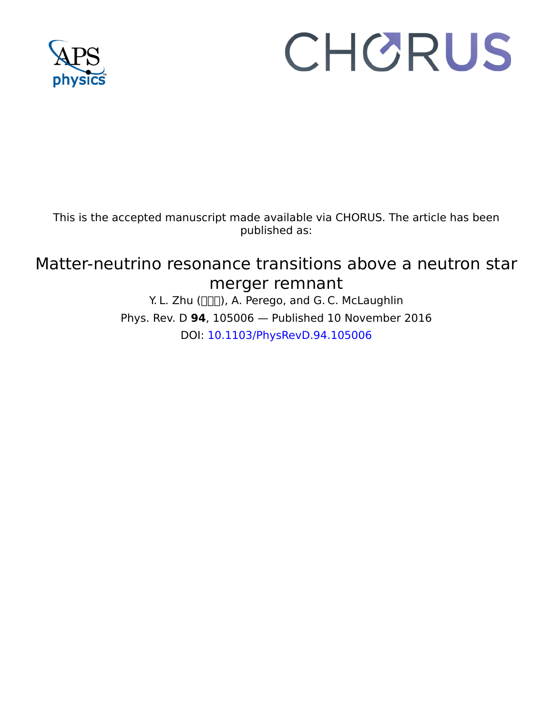

# CHORUS

This is the accepted manuscript made available via CHORUS. The article has been published as:

# Matter-neutrino resonance transitions above a neutron star merger remnant

Y. L. Zhu ( $\Pi$ , A. Perego, and G. C. McLaughlin Phys. Rev. D **94**, 105006 — Published 10 November 2016 DOI: [10.1103/PhysRevD.94.105006](http://dx.doi.org/10.1103/PhysRevD.94.105006)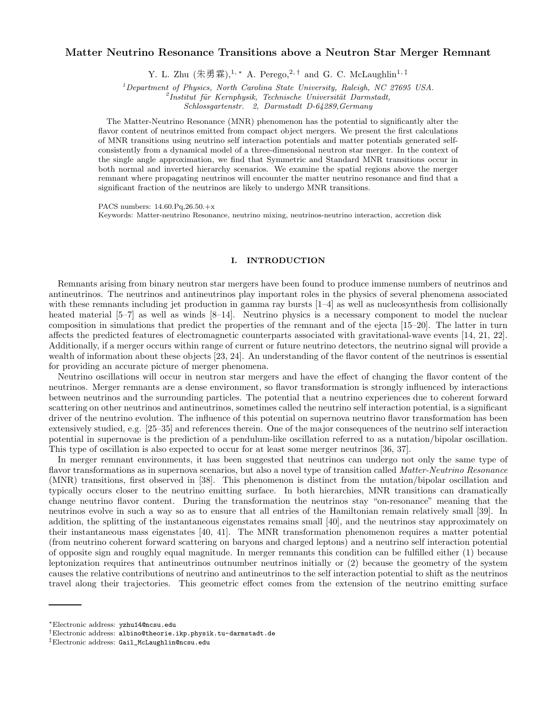## Matter Neutrino Resonance Transitions above a Neutron Star Merger Remnant

Y. L. Zhu  $(\text{\#}\overline{\mathfrak{F}}\,\overline{\mathfrak{F}})^{1,*}$  A. Perego,<sup>2,†</sup> and G. C. McLaughlin<sup>1,‡</sup>

<sup>1</sup>Department of Physics, North Carolina State University, Raleigh, NC 27695 USA.

<sup>2</sup> Institut für Kernphysik, Technische Universität Darmstadt,

Schlossgartenstr. 2, Darmstadt D-64289,Germany

The Matter-Neutrino Resonance (MNR) phenomenon has the potential to significantly alter the flavor content of neutrinos emitted from compact object mergers. We present the first calculations of MNR transitions using neutrino self interaction potentials and matter potentials generated selfconsistently from a dynamical model of a three-dimensional neutron star merger. In the context of the single angle approximation, we find that Symmetric and Standard MNR transitions occur in both normal and inverted hierarchy scenarios. We examine the spatial regions above the merger remnant where propagating neutrinos will encounter the matter neutrino resonance and find that a significant fraction of the neutrinos are likely to undergo MNR transitions.

PACS numbers: 14.60.Pq,26.50.+x

Keywords: Matter-neutrino Resonance, neutrino mixing, neutrinos-neutrino interaction, accretion disk

### I. INTRODUCTION

Remnants arising from binary neutron star mergers have been found to produce immense numbers of neutrinos and antineutrinos. The neutrinos and antineutrinos play important roles in the physics of several phenomena associated with these remnants including jet production in gamma ray bursts  $[1-4]$  as well as nucleosynthesis from collisionally heated material [5–7] as well as winds [8–14]. Neutrino physics is a necessary component to model the nuclear composition in simulations that predict the properties of the remnant and of the ejecta [15–20]. The latter in turn affects the predicted features of electromagnetic counterparts associated with gravitational-wave events [14, 21, 22]. Additionally, if a merger occurs within range of current or future neutrino detectors, the neutrino signal will provide a wealth of information about these objects [23, 24]. An understanding of the flavor content of the neutrinos is essential for providing an accurate picture of merger phenomena.

Neutrino oscillations will occur in neutron star mergers and have the effect of changing the flavor content of the neutrinos. Merger remnants are a dense environment, so flavor transformation is strongly influenced by interactions between neutrinos and the surrounding particles. The potential that a neutrino experiences due to coherent forward scattering on other neutrinos and antineutrinos, sometimes called the neutrino self interaction potential, is a significant driver of the neutrino evolution. The influence of this potential on supernova neutrino flavor transformation has been extensively studied, e.g. [25–35] and references therein. One of the major consequences of the neutrino self interaction potential in supernovae is the prediction of a pendulum-like oscillation referred to as a nutation/bipolar oscillation. This type of oscillation is also expected to occur for at least some merger neutrinos [36, 37].

In merger remnant environments, it has been suggested that neutrinos can undergo not only the same type of flavor transformations as in supernova scenarios, but also a novel type of transition called *Matter-Neutrino Resonance* (MNR) transitions, first observed in [38]. This phenomenon is distinct from the nutation/bipolar oscillation and typically occurs closer to the neutrino emitting surface. In both hierarchies, MNR transitions can dramatically change neutrino flavor content. During the transformation the neutrinos stay "on-resonance" meaning that the neutrinos evolve in such a way so as to ensure that all entries of the Hamiltonian remain relatively small [39]. In addition, the splitting of the instantaneous eigenstates remains small [40], and the neutrinos stay approximately on their instantaneous mass eigenstates [40, 41]. The MNR transformation phenomenon requires a matter potential (from neutrino coherent forward scattering on baryons and charged leptons) and a neutrino self interaction potential of opposite sign and roughly equal magnitude. In merger remnants this condition can be fulfilled either (1) because leptonization requires that antineutrinos outnumber neutrinos initially or (2) because the geometry of the system causes the relative contributions of neutrino and antineutrinos to the self interaction potential to shift as the neutrinos travel along their trajectories. This geometric effect comes from the extension of the neutrino emitting surface

<sup>∗</sup>Electronic address: yzhu14@ncsu.edu

<sup>†</sup>Electronic address: albino@theorie.ikp.physik.tu-darmstadt.de

<sup>‡</sup>Electronic address: Gail\_McLaughlin@ncsu.edu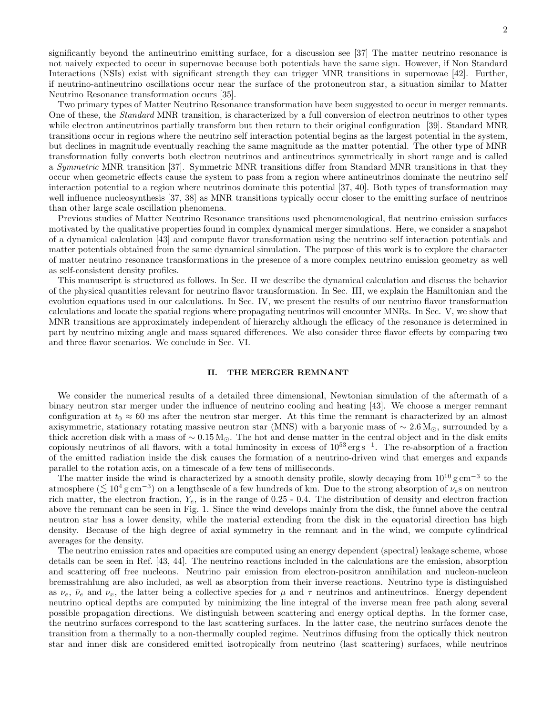significantly beyond the antineutrino emitting surface, for a discussion see [37] The matter neutrino resonance is not naively expected to occur in supernovae because both potentials have the same sign. However, if Non Standard Interactions (NSIs) exist with significant strength they can trigger MNR transitions in supernovae [42]. Further, if neutrino-antineutrino oscillations occur near the surface of the protoneutron star, a situation similar to Matter Neutrino Resonance transformation occurs [35].

Two primary types of Matter Neutrino Resonance transformation have been suggested to occur in merger remnants. One of these, the Standard MNR transition, is characterized by a full conversion of electron neutrinos to other types while electron antineutrinos partially transform but then return to their original configuration [39]. Standard MNR transitions occur in regions where the neutrino self interaction potential begins as the largest potential in the system, but declines in magnitude eventually reaching the same magnitude as the matter potential. The other type of MNR transformation fully converts both electron neutrinos and antineutrinos symmetrically in short range and is called a Symmetric MNR transition [37]. Symmetric MNR transitions differ from Standard MNR transitions in that they occur when geometric effects cause the system to pass from a region where antineutrinos dominate the neutrino self interaction potential to a region where neutrinos dominate this potential [37, 40]. Both types of transformation may well influence nucleosynthesis [37, 38] as MNR transitions typically occur closer to the emitting surface of neutrinos than other large scale oscillation phenomena.

Previous studies of Matter Neutrino Resonance transitions used phenomenological, flat neutrino emission surfaces motivated by the qualitative properties found in complex dynamical merger simulations. Here, we consider a snapshot of a dynamical calculation [43] and compute flavor transformation using the neutrino self interaction potentials and matter potentials obtained from the same dynamical simulation. The purpose of this work is to explore the character of matter neutrino resonance transformations in the presence of a more complex neutrino emission geometry as well as self-consistent density profiles.

This manuscript is structured as follows. In Sec. II we describe the dynamical calculation and discuss the behavior of the physical quantities relevant for neutrino flavor transformation. In Sec. III, we explain the Hamiltonian and the evolution equations used in our calculations. In Sec. IV, we present the results of our neutrino flavor transformation calculations and locate the spatial regions where propagating neutrinos will encounter MNRs. In Sec. V, we show that MNR transitions are approximately independent of hierarchy although the efficacy of the resonance is determined in part by neutrino mixing angle and mass squared differences. We also consider three flavor effects by comparing two and three flavor scenarios. We conclude in Sec. VI.

#### II. THE MERGER REMNANT

We consider the numerical results of a detailed three dimensional, Newtonian simulation of the aftermath of a binary neutron star merger under the influence of neutrino cooling and heating [43]. We choose a merger remnant configuration at  $t_0 \approx 60$  ms after the neutron star merger. At this time the remnant is characterized by an almost axisymmetric, stationary rotating massive neutron star (MNS) with a baryonic mass of  $\sim 2.6 M_{\odot}$ , surrounded by a thick accretion disk with a mass of  $\sim 0.15 M_{\odot}$ . The hot and dense matter in the central object and in the disk emits copiously neutrinos of all flavors, with a total luminosity in excess of 10<sup>53</sup> erg s<sup>−</sup><sup>1</sup> . The re-absorption of a fraction of the emitted radiation inside the disk causes the formation of a neutrino-driven wind that emerges and expands parallel to the rotation axis, on a timescale of a few tens of milliseconds.

The matter inside the wind is characterized by a smooth density profile, slowly decaying from  $10^{10}$  g cm<sup>-3</sup> to the atmosphere ( $\lesssim 10^4$  g cm<sup>-3</sup>) on a lengthscale of a few hundreds of km. Due to the strong absorption of  $\nu_e$ s on neutron<br>right metter, the electron fraction  $V_e$  is in the range of 0.25, 0.4. The distribution of dens rich matter, the electron fraction,  $Y_e$ , is in the range of 0.25 - 0.4. The distribution of density and electron fraction above the remnant can be seen in Fig. 1. Since the wind develops mainly from the disk, the funnel above the central neutron star has a lower density, while the material extending from the disk in the equatorial direction has high density. Because of the high degree of axial symmetry in the remnant and in the wind, we compute cylindrical averages for the density.

The neutrino emission rates and opacities are computed using an energy dependent (spectral) leakage scheme, whose details can be seen in Ref. [43, 44]. The neutrino reactions included in the calculations are the emission, absorption and scattering off free nucleons. Neutrino pair emission from electron-positron annihilation and nucleon-nucleon bremsstrahlung are also included, as well as absorption from their inverse reactions. Neutrino type is distinguished as  $\nu_e$ ,  $\bar{\nu}_e$  and  $\nu_x$ , the latter being a collective species for  $\mu$  and  $\tau$  neutrinos and antineutrinos. Energy dependent neutrino optical depths are computed by minimizing the line integral of the inverse mean free path along several possible propagation directions. We distinguish between scattering and energy optical depths. In the former case, the neutrino surfaces correspond to the last scattering surfaces. In the latter case, the neutrino surfaces denote the transition from a thermally to a non-thermally coupled regime. Neutrinos diffusing from the optically thick neutron star and inner disk are considered emitted isotropically from neutrino (last scattering) surfaces, while neutrinos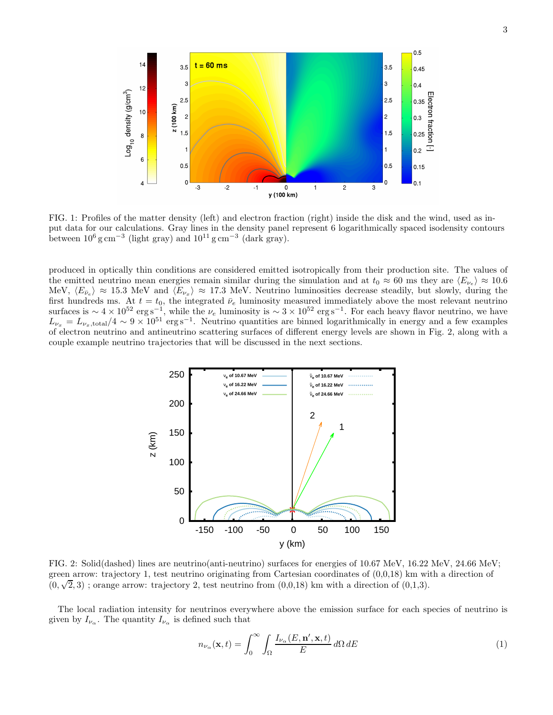

FIG. 1: Profiles of the matter density (left) and electron fraction (right) inside the disk and the wind, used as input data for our calculations. Gray lines in the density panel represent 6 logarithmically spaced isodensity contours between  $10^6$  g cm<sup>-3</sup> (light gray) and  $10^{11}$  g cm<sup>-3</sup> (dark gray).

produced in optically thin conditions are considered emitted isotropically from their production site. The values of the emitted neutrino mean energies remain similar during the simulation and at  $t_0 \approx 60$  ms they are  $\langle E_{\nu_e} \rangle \approx 10.6$ MeV,  $\langle E_{\bar{\nu}_e} \rangle \approx 15.3$  MeV and  $\langle E_{\nu_x} \rangle \approx 17.3$  MeV. Neutrino luminosities decrease steadily, but slowly, during the first hundreds ms. At  $t = t_0$ , the integrated  $\bar{\nu}_e$  luminosity measured immediately above the most relevant neutrino surfaces is  $\sim 4 \times 10^{52} \text{ erg s}^{-1}$ , while the  $\nu_e$  luminosity is  $\sim 3 \times 10^{52} \text{ erg s}^{-1}$ . For each heavy flavor neutrino, we have  $L_{\nu_x} = L_{\nu_x, \text{total}}/4 \sim 9 \times 10^{51} \text{ erg s}^{-1}$ . Neutrino quantities are binned logarithmically in energy and a few examples of electron neutrino and antineutrino scattering surfaces of different energy levels are shown in Fig. 2, along with a couple example neutrino trajectories that will be discussed in the next sections.



FIG. 2: Solid(dashed) lines are neutrino(anti-neutrino) surfaces for energies of 10.67 MeV, 16.22 MeV, 24.66 MeV; green arrow: trajectory 1, test neutrino originating from Cartesian coordinates of  $(0,0,18)$  km with a direction of  $(0, \sqrt{2}, 3)$ ; orange arrow: trajectory 2, test neutrino from  $(0,0,18)$  km with a direction of  $(0,1,3)$ .

The local radiation intensity for neutrinos everywhere above the emission surface for each species of neutrino is given by  $I_{\nu_{\alpha}}$ . The quantity  $I_{\nu_{\alpha}}$  is defined such that

$$
n_{\nu_{\alpha}}(\mathbf{x},t) = \int_0^\infty \int_\Omega \frac{I_{\nu_{\alpha}}(E,\mathbf{n}',\mathbf{x},t)}{E} d\Omega dE \tag{1}
$$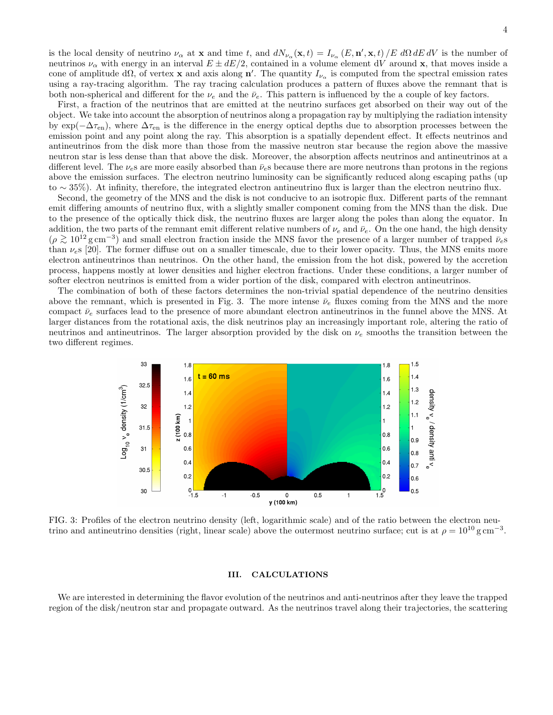is the local density of neutrino  $\nu_{\alpha}$  at **x** and time t, and  $dN_{\nu_{\alpha}}(\mathbf{x},t) = I_{\nu_{\alpha}}(E, \mathbf{n}', \mathbf{x},t)/E d\Omega dE dV$  is the number of neutrinos  $\nu_{\alpha}$  with energy in an interval  $E \pm dE/2$ , contained in a volume element dV around x, that moves inside a cone of amplitude d $\Omega$ , of vertex x and axis along n'. The quantity  $I_{\nu_{\alpha}}$  is computed from the spectral emission rates using a ray-tracing algorithm. The ray tracing calculation produces a pattern of fluxes above the remnant that is both non-spherical and different for the  $\nu_e$  and the  $\bar{\nu}_e$ . This pattern is influenced by the a couple of key factors.

First, a fraction of the neutrinos that are emitted at the neutrino surfaces get absorbed on their way out of the object. We take into account the absorption of neutrinos along a propagation ray by multiplying the radiation intensity by  $\exp(-\Delta\tau_{en})$ , where  $\Delta\tau_{en}$  is the difference in the energy optical depths due to absorption processes between the emission point and any point along the ray. This absorption is a spatially dependent effect. It effects neutrinos and antineutrinos from the disk more than those from the massive neutron star because the region above the massive neutron star is less dense than that above the disk. Moreover, the absorption affects neutrinos and antineutrinos at a different level. The  $\nu_e$ s are more easily absorbed than  $\bar{\nu}_e$ s because there are more neutrons than protons in the regions above the emission surfaces. The electron neutrino luminosity can be significantly reduced along escaping paths (up to ∼ 35%). At infinity, therefore, the integrated electron antineutrino flux is larger than the electron neutrino flux.

Second, the geometry of the MNS and the disk is not conducive to an isotropic flux. Different parts of the remnant emit differing amounts of neutrino flux, with a slightly smaller component coming from the MNS than the disk. Due to the presence of the optically thick disk, the neutrino fluxes are larger along the poles than along the equator. In addition, the two parts of the remnant emit different relative numbers of  $\nu_e$  and  $\bar{\nu}_e$ . On the one hand, the high density  $(\rho \gtrsim 10^{12} \text{ g cm}^{-3})$  and small electron fraction inside the MNS favor the presence of a larger number of trapped  $\bar{\nu}_{e}$ s<br>than y s [20]. The former diffuse out on a smaller timescale, due to their lower openity. Thu than  $\nu_s$  [20]. The former diffuse out on a smaller timescale, due to their lower opacity. Thus, the MNS emits more electron antineutrinos than neutrinos. On the other hand, the emission from the hot disk, powered by the accretion process, happens mostly at lower densities and higher electron fractions. Under these conditions, a larger number of softer electron neutrinos is emitted from a wider portion of the disk, compared with electron antineutrinos.

The combination of both of these factors determines the non-trivial spatial dependence of the neutrino densities above the remnant, which is presented in Fig. 3. The more intense  $\bar{\nu}_e$  fluxes coming from the MNS and the more compact  $\bar{\nu}_e$  surfaces lead to the presence of more abundant electron antineutrinos in the funnel above the MNS. At larger distances from the rotational axis, the disk neutrinos play an increasingly important role, altering the ratio of neutrinos and antineutrinos. The larger absorption provided by the disk on  $\nu_e$  smooths the transition between the two different regimes.



FIG. 3: Profiles of the electron neutrino density (left, logarithmic scale) and of the ratio between the electron neutrino and antineutrino densities (right, linear scale) above the outermost neutrino surface; cut is at  $\rho = 10^{10}$  g cm<sup>-3</sup>.

#### III. CALCULATIONS

We are interested in determining the flavor evolution of the neutrinos and anti-neutrinos after they leave the trapped region of the disk/neutron star and propagate outward. As the neutrinos travel along their trajectories, the scattering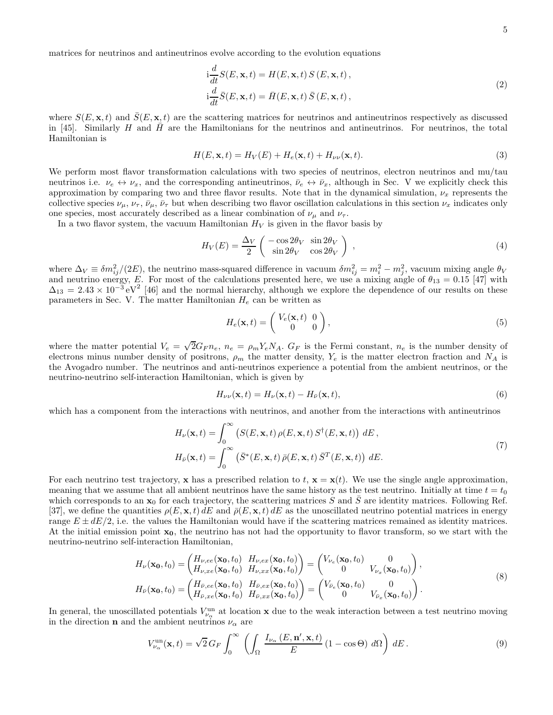5

matrices for neutrinos and antineutrinos evolve according to the evolution equations

$$
i\frac{d}{dt}S(E, \mathbf{x}, t) = H(E, \mathbf{x}, t) S(E, \mathbf{x}, t),
$$
  
\n
$$
i\frac{d}{dt}\bar{S}(E, \mathbf{x}, t) = \bar{H}(E, \mathbf{x}, t) \bar{S}(E, \mathbf{x}, t),
$$
\n(2)

where  $S(E, \mathbf{x}, t)$  and  $\overline{S}(E, \mathbf{x}, t)$  are the scattering matrices for neutrinos and antineutrinos respectively as discussed in [45]. Similarly H and  $\bar{H}$  are the Hamiltonians for the neutrinos and antineutrinos. For neutrinos, the total Hamiltonian is

$$
H(E, \mathbf{x}, t) = H_V(E) + H_e(\mathbf{x}, t) + H_{\nu\nu}(\mathbf{x}, t).
$$
\n(3)

We perform most flavor transformation calculations with two species of neutrinos, electron neutrinos and mu/tau neutrinos i.e.  $\nu_e \leftrightarrow \nu_x$ , and the corresponding antineutrinos,  $\bar{\nu}_e \leftrightarrow \bar{\nu}_x$ , although in Sec. V we explicitly check this approximation by comparing two and three flavor results. Note that in the dynamical simulation,  $\nu_x$  represents the collective species  $\nu_{\mu}, \nu_{\tau}, \bar{\nu}_{\mu}, \bar{\nu}_{\tau}$  but when describing two flavor oscillation calculations in this section  $\nu_{x}$  indicates only one species, most accurately described as a linear combination of  $\nu_{\mu}$  and  $\nu_{\tau}$ .

In a two flavor system, the vacuum Hamiltonian  $H_V$  is given in the flavor basis by

$$
H_V(E) = \frac{\Delta_V}{2} \begin{pmatrix} -\cos 2\theta_V & \sin 2\theta_V \\ \sin 2\theta_V & \cos 2\theta_V \end{pmatrix} , \qquad (4)
$$

where  $\Delta V \equiv \delta m_{ij}^2/(2E)$ , the neutrino mass-squared difference in vacuum  $\delta m_{ij}^2 = m_i^2 - m_j^2$ , vacuum mixing angle  $\theta_V$ and neutrino energy, E. For most of the calculations presented here, we use a mixing angle of  $\theta_{13} = 0.15$  [47] with  $\Delta_{13} = 2.43 \times 10^{-3} \text{ eV}^2$  [46] and the normal hierarchy, although we explore the dependence of our results on these parameters in Sec. V. The matter Hamiltonian  $H_e$  can be written as

$$
H_e(\mathbf{x},t) = \begin{pmatrix} V_e(\mathbf{x},t) & 0\\ 0 & 0 \end{pmatrix},\tag{5}
$$

where the matter potential  $V_e = \sqrt{2}G_F n_e$ ,  $n_e = \rho_m Y_e N_A$ .  $G_F$  is the Fermi constant,  $n_e$  is the number density of electrons minus number density of positrons,  $\rho_m$  the matter density,  $Y_e$  is the matter electron fraction and  $N_A$  is the Avogadro number. The neutrinos and anti-neutrinos experience a potential from the ambient neutrinos, or the neutrino-neutrino self-interaction Hamiltonian, which is given by

$$
H_{\nu\nu}(\mathbf{x},t) = H_{\nu}(\mathbf{x},t) - H_{\bar{\nu}}(\mathbf{x},t),
$$
\n(6)

which has a component from the interactions with neutrinos, and another from the interactions with antineutrinos

$$
H_{\nu}(\mathbf{x},t) = \int_0^{\infty} \left( S(E,\mathbf{x},t) \,\rho(E,\mathbf{x},t) \, S^{\dagger}(E,\mathbf{x},t) \right) \, dE \,,
$$
  
\n
$$
H_{\bar{\nu}}(\mathbf{x},t) = \int_0^{\infty} \left( \bar{S}^*(E,\mathbf{x},t) \,\bar{\rho}(E,\mathbf{x},t) \, \bar{S}^T(E,\mathbf{x},t) \right) \, dE \,.
$$
\n(7)

For each neutrino test trajectory, x has a prescribed relation to t,  $\mathbf{x} = \mathbf{x}(t)$ . We use the single angle approximation, meaning that we assume that all ambient neutrinos have the same history as the test neutrino. Initially at time  $t = t_0$ which corresponds to an  $x_0$  for each trajectory, the scattering matrices S and  $\overline{S}$  are identity matrices. Following Ref. [37], we define the quantities  $\rho(E, \mathbf{x}, t) dE$  and  $\bar{\rho}(E, \mathbf{x}, t) dE$  as the unoscillated neutrino potential matrices in energy range  $E \pm dE/2$ , i.e. the values the Hamiltonian would have if the scattering matrices remained as identity matrices. At the initial emission point  $x_0$ , the neutrino has not had the opportunity to flavor transform, so we start with the neutrino-neutrino self-interaction Hamiltonian,

$$
H_{\nu}(\mathbf{x_0}, t_0) = \begin{pmatrix} H_{\nu,ee}(\mathbf{x_0}, t_0) & H_{\nu,ex}(\mathbf{x_0}, t_0) \\ H_{\nu,xe}(\mathbf{x_0}, t_0) & H_{\nu,xx}(\mathbf{x_0}, t_0) \end{pmatrix} = \begin{pmatrix} V_{\nu_e}(\mathbf{x_0}, t_0) & 0 \\ 0 & V_{\nu_x}(\mathbf{x_0}, t_0) \end{pmatrix},
$$
  
\n
$$
H_{\bar{\nu}}(\mathbf{x_0}, t_0) = \begin{pmatrix} H_{\bar{\nu},ee}(\mathbf{x_0}, t_0) & H_{\bar{\nu},ex}(\mathbf{x_0}, t_0) \\ H_{\bar{\nu},xe}(\mathbf{x_0}, t_0) & H_{\bar{\nu},xx}(\mathbf{x_0}, t_0) \end{pmatrix} = \begin{pmatrix} V_{\bar{\nu}_e}(\mathbf{x_0}, t_0) & 0 \\ 0 & V_{\bar{\nu}_x}(\mathbf{x_0}, t_0) \end{pmatrix}.
$$
\n(8)

In general, the unoscillated potentials  $V_{\nu_\alpha}^{\text{un}}$  at location **x** due to the weak interaction between a test neutrino moving in the direction **n** and the ambient neutrinos  $\nu_{\alpha}$  are

$$
V_{\nu_{\alpha}}^{\text{un}}(\mathbf{x},t) = \sqrt{2} \, G_F \int_0^\infty \left( \int_\Omega \frac{I_{\nu_{\alpha}}\left(E,\mathbf{n}',\mathbf{x},t\right)}{E} \left(1 - \cos\Theta\right) \, d\Omega \right) \, dE \,. \tag{9}
$$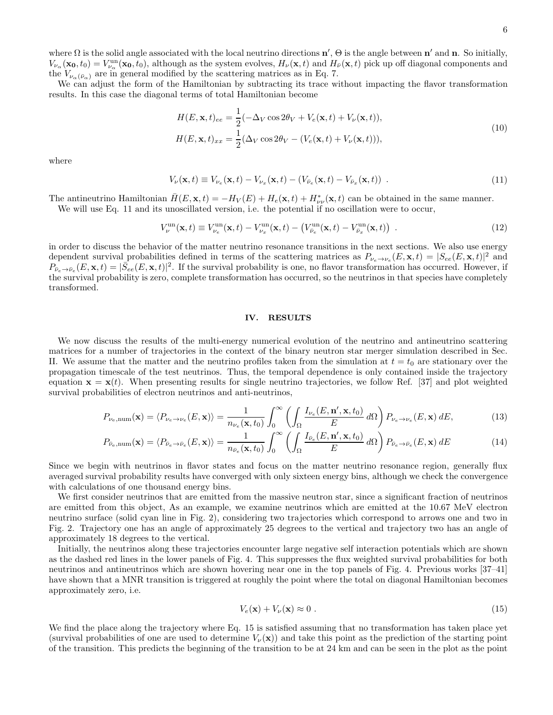where  $\Omega$  is the solid angle associated with the local neutrino directions  $\mathbf{n}'$ ,  $\Theta$  is the angle between  $\mathbf{n}'$  and  $\mathbf{n}$ . So initially,  $V_{\nu_{\alpha}}(\mathbf{x_0}, t_0) = V_{\nu_{\alpha}}^{\text{un}}(\mathbf{x_0}, t_0)$ , although as the system evolves,  $H_{\nu}(\mathbf{x}, t)$  and  $H_{\bar{\nu}}(\mathbf{x}, t)$  pick up off diagonal components and the  $V_{\nu_{\alpha}(\bar{\nu}_{\alpha})}$  are in general modified by the scattering matrices as in Eq. 7.

We can adjust the form of the Hamiltonian by subtracting its trace without impacting the flavor transformation results. In this case the diagonal terms of total Hamiltonian become

$$
H(E, \mathbf{x}, t)_{ee} = \frac{1}{2} (-\Delta_V \cos 2\theta_V + V_e(\mathbf{x}, t) + V_\nu(\mathbf{x}, t)),
$$
  
\n
$$
H(E, \mathbf{x}, t)_{xx} = \frac{1}{2} (\Delta_V \cos 2\theta_V - (V_e(\mathbf{x}, t) + V_\nu(\mathbf{x}, t))),
$$
\n(10)

where

$$
V_{\nu}(\mathbf{x},t) \equiv V_{\nu_e}(\mathbf{x},t) - V_{\nu_x}(\mathbf{x},t) - (V_{\bar{\nu}_e}(\mathbf{x},t) - V_{\bar{\nu}_x}(\mathbf{x},t)) \tag{11}
$$

The antineutrino Hamiltonian  $\bar{H}(E, \mathbf{x}, t) = -H_V(E) + H_e(\mathbf{x}, t) + H_{\nu}^*(\mathbf{x}, t)$  can be obtained in the same manner. We will use Eq. 11 and its unoscillated version, i.e. the potential if no oscillation were to occur,

$$
V_{\nu}^{\text{un}}(\mathbf{x},t) \equiv V_{\nu_e}^{\text{un}}(\mathbf{x},t) - V_{\nu_x}^{\text{un}}(\mathbf{x},t) - \left(V_{\bar{\nu}_e}^{\text{un}}(\mathbf{x},t) - V_{\bar{\nu}_x}^{\text{un}}(\mathbf{x},t)\right) \tag{12}
$$

in order to discuss the behavior of the matter neutrino resonance transitions in the next sections. We also use energy dependent survival probabilities defined in terms of the scattering matrices as  $P_{\nu_e \to \nu_e}(E, \mathbf{x}, t) = |S_{ee}(E, \mathbf{x}, t)|^2$  and  $P_{\bar{\nu}_e \to \bar{\nu}_e}(E, \mathbf{x}, t) = |\bar{S}_{ee}(E, \mathbf{x}, t)|^2$ . If the survival probability is one, no flavor transformation has occurred. However, if the survival probability is zero, complete transformation has occurred, so the neutrinos in that species have completely transformed.

#### IV. RESULTS

We now discuss the results of the multi-energy numerical evolution of the neutrino and antineutrino scattering matrices for a number of trajectories in the context of the binary neutron star merger simulation described in Sec. II. We assume that the matter and the neutrino profiles taken from the simulation at  $t = t_0$  are stationary over the propagation timescale of the test neutrinos. Thus, the temporal dependence is only contained inside the trajectory equation  $\mathbf{x} = \mathbf{x}(t)$ . When presenting results for single neutrino trajectories, we follow Ref. [37] and plot weighted survival probabilities of electron neutrinos and anti-neutrinos,

$$
P_{\nu_e,\text{num}}(\mathbf{x}) = \langle P_{\nu_e \to \nu_e}(E, \mathbf{x}) \rangle = \frac{1}{n_{\nu_e}(\mathbf{x}, t_0)} \int_0^\infty \left( \int_\Omega \frac{I_{\nu_e}(E, \mathbf{n}', \mathbf{x}, t_0)}{E} \, d\Omega \right) P_{\nu_e \to \nu_e}(E, \mathbf{x}) \, dE,\tag{13}
$$

$$
P_{\bar{\nu}_e,\text{num}}(\mathbf{x}) = \langle P_{\bar{\nu}_e \to \bar{\nu}_e}(E, \mathbf{x}) \rangle = \frac{1}{n_{\bar{\nu}_e}(\mathbf{x}, t_0)} \int_0^\infty \left( \int_\Omega \frac{I_{\bar{\nu}_e}(E, \mathbf{n}', \mathbf{x}, t_0)}{E} \, d\Omega \right) P_{\bar{\nu}_e \to \bar{\nu}_e}(E, \mathbf{x}) \, dE \tag{14}
$$

Since we begin with neutrinos in flavor states and focus on the matter neutrino resonance region, generally flux averaged survival probability results have converged with only sixteen energy bins, although we check the convergence with calculations of one thousand energy bins.

We first consider neutrinos that are emitted from the massive neutron star, since a significant fraction of neutrinos are emitted from this object, As an example, we examine neutrinos which are emitted at the 10.67 MeV electron neutrino surface (solid cyan line in Fig. 2), considering two trajectories which correspond to arrows one and two in Fig. 2. Trajectory one has an angle of approximately 25 degrees to the vertical and trajectory two has an angle of approximately 18 degrees to the vertical.

Initially, the neutrinos along these trajectories encounter large negative self interaction potentials which are shown as the dashed red lines in the lower panels of Fig. 4. This suppresses the flux weighted survival probabilities for both neutrinos and antineutrinos which are shown hovering near one in the top panels of Fig. 4. Previous works [37–41] have shown that a MNR transition is triggered at roughly the point where the total on diagonal Hamiltonian becomes approximately zero, i.e.

$$
V_e(\mathbf{x}) + V_\nu(\mathbf{x}) \approx 0 \tag{15}
$$

We find the place along the trajectory where Eq. 15 is satisfied assuming that no transformation has taken place yet (survival probabilities of one are used to determine  $V_{\nu}(\mathbf{x})$ ) and take this point as the prediction of the starting point of the transition. This predicts the beginning of the transition to be at 24 km and can be seen in the plot as the point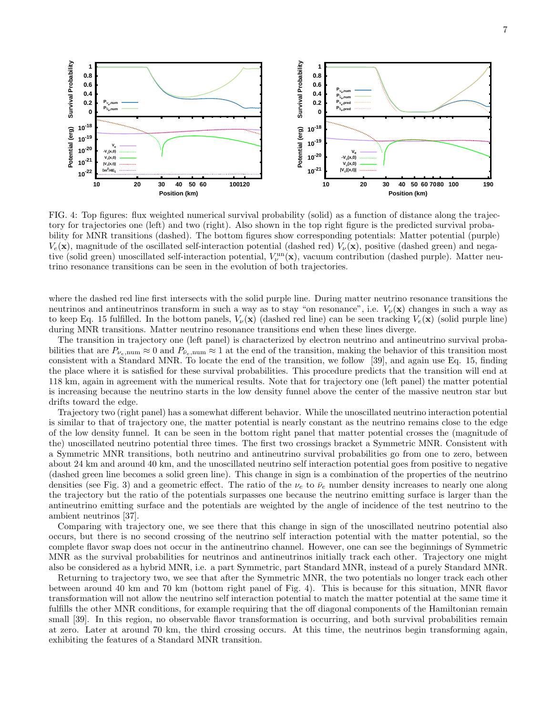



FIG. 4: Top figures: flux weighted numerical survival probability (solid) as a function of distance along the trajectory for trajectories one (left) and two (right). Also shown in the top right figure is the predicted survival probability for MNR transitions (dashed). The bottom figures show corresponding potentials: Matter potential (purple)  $V_e(\mathbf{x})$ , magnitude of the oscillated self-interaction potential (dashed red)  $V_{\nu}(\mathbf{x})$ , positive (dashed green) and negative (solid green) unoscillated self-interaction potential,  $V_\nu^{\text{un}}(\mathbf{x})$ , vacuum contribution (dashed purple). Matter neutrino resonance transitions can be seen in the evolution of both trajectories.

where the dashed red line first intersects with the solid purple line. During matter neutrino resonance transitions the neutrinos and antineutrinos transform in such a way as to stay "on resonance", i.e.  $V_{\nu}(\mathbf{x})$  changes in such a way as to keep Eq. 15 fulfilled. In the bottom panels,  $V_{\nu}(\mathbf{x})$  (dashed red line) can be seen tracking  $V_{e}(\mathbf{x})$  (solid purple line) during MNR transitions. Matter neutrino resonance transitions end when these lines diverge.

The transition in trajectory one (left panel) is characterized by electron neutrino and antineutrino survival probabilities that are  $P_{\nu_e,\text{num}} \approx 0$  and  $P_{\bar{\nu}_e,\text{num}} \approx 1$  at the end of the transition, making the behavior of this transition most consistent with a Standard MNR. To locate the end of the transition, we follow [39], and again use Eq. 15, finding the place where it is satisfied for these survival probabilities. This procedure predicts that the transition will end at 118 km, again in agreement with the numerical results. Note that for trajectory one (left panel) the matter potential is increasing because the neutrino starts in the low density funnel above the center of the massive neutron star but drifts toward the edge.

Trajectory two (right panel) has a somewhat different behavior. While the unoscillated neutrino interaction potential is similar to that of trajectory one, the matter potential is nearly constant as the neutrino remains close to the edge of the low density funnel. It can be seen in the bottom right panel that matter potential crosses the (magnitude of the) unoscillated neutrino potential three times. The first two crossings bracket a Symmetric MNR. Consistent with a Symmetric MNR transitions, both neutrino and antineutrino survival probabilities go from one to zero, between about 24 km and around 40 km, and the unoscillated neutrino self interaction potential goes from positive to negative (dashed green line becomes a solid green line). This change in sign is a combination of the properties of the neutrino densities (see Fig. 3) and a geometric effect. The ratio of the  $\nu_e$  to  $\bar{\nu}_e$  number density increases to nearly one along the trajectory but the ratio of the potentials surpasses one because the neutrino emitting surface is larger than the antineutrino emitting surface and the potentials are weighted by the angle of incidence of the test neutrino to the ambient neutrinos [37].

Comparing with trajectory one, we see there that this change in sign of the unoscillated neutrino potential also occurs, but there is no second crossing of the neutrino self interaction potential with the matter potential, so the complete flavor swap does not occur in the antineutrino channel. However, one can see the beginnings of Symmetric MNR as the survival probabilities for neutrinos and antineutrinos initially track each other. Trajectory one might also be considered as a hybrid MNR, i.e. a part Symmetric, part Standard MNR, instead of a purely Standard MNR.

Returning to trajectory two, we see that after the Symmetric MNR, the two potentials no longer track each other between around 40 km and 70 km (bottom right panel of Fig. 4). This is because for this situation, MNR flavor transformation will not allow the neutrino self interaction potential to match the matter potential at the same time it fulfills the other MNR conditions, for example requiring that the off diagonal components of the Hamiltonian remain small [39]. In this region, no observable flavor transformation is occurring, and both survival probabilities remain at zero. Later at around 70 km, the third crossing occurs. At this time, the neutrinos begin transforming again, exhibiting the features of a Standard MNR transition.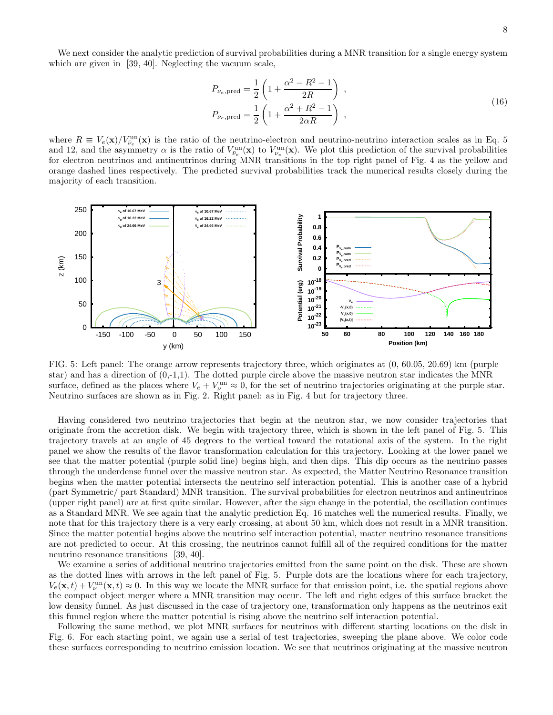We next consider the analytic prediction of survival probabilities during a MNR transition for a single energy system which are given in [39, 40]. Neglecting the vacuum scale,

$$
P_{\nu_e, \text{pred}} = \frac{1}{2} \left( 1 + \frac{\alpha^2 - R^2 - 1}{2R} \right) ,
$$
  
\n
$$
P_{\bar{\nu}_e, \text{pred}} = \frac{1}{2} \left( 1 + \frac{\alpha^2 + R^2 - 1}{2\alpha R} \right) ,
$$
\n(16)

where  $R \equiv V_e(\mathbf{x})/V_{\bar{\nu}_e}^{\text{un}}(\mathbf{x})$  is the ratio of the neutrino-electron and neutrino-neutrino interaction scales as in Eq. 5 and 12, and the asymmetry  $\alpha$  is the ratio of  $V_{\bar{\nu}_e}^{\text{un}}(\mathbf{x})$  to  $V_{\nu_e}^{\text{un}}(\mathbf{x})$ . We plot this prediction of the survival probabilities for electron neutrinos and antineutrinos during MNR transitions in the top right panel of Fig. 4 as the yellow and orange dashed lines respectively. The predicted survival probabilities track the numerical results closely during the majority of each transition.



FIG. 5: Left panel: The orange arrow represents trajectory three, which originates at (0, 60.05, 20.69) km (purple star) and has a direction of  $(0,-1,1)$ . The dotted purple circle above the massive neutron star indicates the MNR surface, defined as the places where  $V_e + V_\nu^{\text{un}} \approx 0$ , for the set of neutrino trajectories originating at the purple star. Neutrino surfaces are shown as in Fig. 2. Right panel: as in Fig. 4 but for trajectory three.

Having considered two neutrino trajectories that begin at the neutron star, we now consider trajectories that originate from the accretion disk. We begin with trajectory three, which is shown in the left panel of Fig. 5. This trajectory travels at an angle of 45 degrees to the vertical toward the rotational axis of the system. In the right panel we show the results of the flavor transformation calculation for this trajectory. Looking at the lower panel we see that the matter potential (purple solid line) begins high, and then dips. This dip occurs as the neutrino passes through the underdense funnel over the massive neutron star. As expected, the Matter Neutrino Resonance transition begins when the matter potential intersects the neutrino self interaction potential. This is another case of a hybrid (part Symmetric/ part Standard) MNR transition. The survival probabilities for electron neutrinos and antineutrinos (upper right panel) are at first quite similar. However, after the sign change in the potential, the oscillation continues as a Standard MNR. We see again that the analytic prediction Eq. 16 matches well the numerical results. Finally, we note that for this trajectory there is a very early crossing, at about 50 km, which does not result in a MNR transition. Since the matter potential begins above the neutrino self interaction potential, matter neutrino resonance transitions are not predicted to occur. At this crossing, the neutrinos cannot fulfill all of the required conditions for the matter neutrino resonance transitions [39, 40].

We examine a series of additional neutrino trajectories emitted from the same point on the disk. These are shown as the dotted lines with arrows in the left panel of Fig. 5. Purple dots are the locations where for each trajectory,  $V_e(\mathbf{x}, t) + V_\nu^{\text{un}}(\mathbf{x}, t) \approx 0$ . In this way we locate the MNR surface for that emission point, i.e. the spatial regions above the compact object merger where a MNR transition may occur. The left and right edges of this surface bracket the low density funnel. As just discussed in the case of trajectory one, transformation only happens as the neutrinos exit this funnel region where the matter potential is rising above the neutrino self interaction potential.

Following the same method, we plot MNR surfaces for neutrinos with different starting locations on the disk in Fig. 6. For each starting point, we again use a serial of test trajectories, sweeping the plane above. We color code these surfaces corresponding to neutrino emission location. We see that neutrinos originating at the massive neutron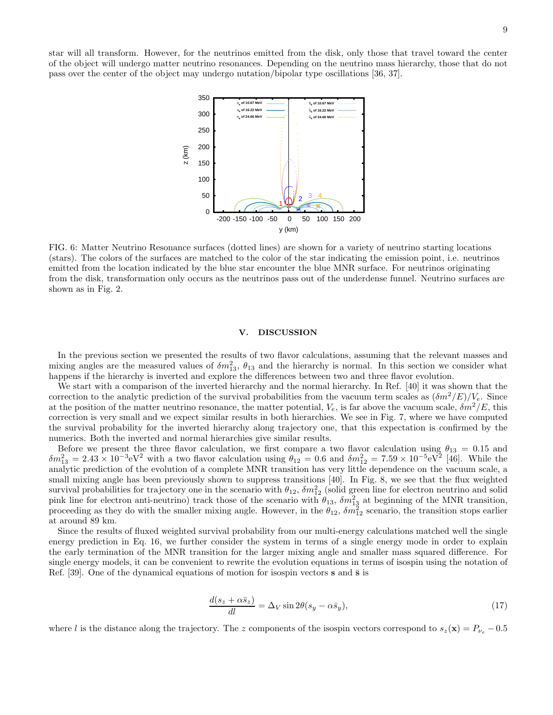star will all transform. However, for the neutrinos emitted from the disk, only those that travel toward the center of the object will undergo matter neutrino resonances. Depending on the neutrino mass hierarchy, those that do not pass over the center of the object may undergo nutation/bipolar type oscillations [36, 37].



FIG. 6: Matter Neutrino Resonance surfaces (dotted lines) are shown for a variety of neutrino starting locations (stars). The colors of the surfaces are matched to the color of the star indicating the emission point, i.e. neutrinos emitted from the location indicated by the blue star encounter the blue MNR surface. For neutrinos originating from the disk, transformation only occurs as the neutrinos pass out of the underdense funnel. Neutrino surfaces are shown as in Fig. 2.

#### V. DISCUSSION

In the previous section we presented the results of two flavor calculations, assuming that the relevant masses and mixing angles are the measured values of  $\delta m_{13}^2$ ,  $\theta_{13}$  and the hierarchy is normal. In this section we consider what happens if the hierarchy is inverted and explore the differences between two and three flavor evolution.

We start with a comparison of the inverted hierarchy and the normal hierarchy. In Ref. [40] it was shown that the correction to the analytic prediction of the survival probabilities from the vacuum term scales as  $(\delta m^2/E)/V_e$ . Since at the position of the matter neutrino resonance, the matter potential,  $V_e$ , is far above the vacuum scale,  $\delta m^2/E$ , this correction is very small and we expect similar results in both hierarchies. We see in Fig. 7, where we have computed the survival probability for the inverted hierarchy along trajectory one, that this expectation is confirmed by the numerics. Both the inverted and normal hierarchies give similar results.

Before we present the three flavor calculation, we first compare a two flavor calculation using  $\theta_{13} = 0.15$  and  $\delta m_{13}^2 = 2.43 \times 10^{-3} \text{eV}^2$  with a two flavor calculation using  $\theta_{12} = 0.6$  and  $\delta m_{12}^2 = 7.59 \times 10^{-5} \text{eV}^2$  [46]. While the analytic prediction of the evolution of a complete MNR transition has very little dependence on the vacuum scale, a small mixing angle has been previously shown to suppress transitions [40]. In Fig. 8, we see that the flux weighted survival probabilities for trajectory one in the scenario with  $\theta_{12}$ ,  $\delta m_{12}^2$  (solid green line for electron neutrino and solid pink line for electron anti-neutrino) track those of the scenario with  $\theta_{13}$ ,  $\delta m_{13}^2$  at beginning of the MNR transition, proceeding as they do with the smaller mixing angle. However, in the  $\theta_{12}$ ,  $\delta m_{12}^2$  scenario, the transition stops earlier at around 89 km.

Since the results of fluxed weighted survival probability from our multi-energy calculations matched well the single energy prediction in Eq. 16, we further consider the system in terms of a single energy mode in order to explain the early termination of the MNR transition for the larger mixing angle and smaller mass squared difference. For single energy models, it can be convenient to rewrite the evolution equations in terms of isospin using the notation of Ref. [39]. One of the dynamical equations of motion for isospin vectors  $\bf{s}$  and  $\bf{\bar{s}}$  is

$$
\frac{d(s_z + \alpha \bar{s}_z)}{dl} = \Delta_V \sin 2\theta (s_y - \alpha \bar{s}_y),\tag{17}
$$

where l is the distance along the trajectory. The z components of the isospin vectors correspond to  $s_z(\mathbf{x}) = P_{\nu_e} - 0.5$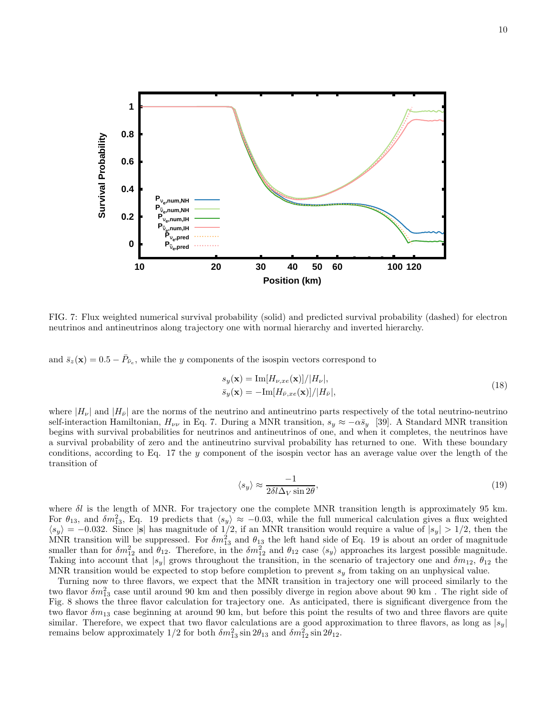

FIG. 7: Flux weighted numerical survival probability (solid) and predicted survival probability (dashed) for electron neutrinos and antineutrinos along trajectory one with normal hierarchy and inverted hierarchy.

and  $\bar{s}_z(\mathbf{x}) = 0.5 - \bar{P}_{\bar{\nu}_e}$ , while the y components of the isospin vectors correspond to

$$
s_y(\mathbf{x}) = \text{Im}[H_{\nu,xe}(\mathbf{x})]/|H_{\nu}|,
$$
  
\n
$$
\bar{s}_y(\mathbf{x}) = -\text{Im}[H_{\bar{\nu},xe}(\mathbf{x})]/|H_{\bar{\nu}}|,
$$
\n(18)

where  $|H_{\nu}|$  and  $|H_{\bar{\nu}}|$  are the norms of the neutrino and antineutrino parts respectively of the total neutrino-neutrino self-interaction Hamiltonian,  $H_{\nu\nu}$  in Eq. 7. During a MNR transition,  $s_y \approx -\alpha \bar{s}_y$  [39]. A Standard MNR transition begins with survival probabilities for neutrinos and antineutrinos of one, and when it completes, the neutrinos have a survival probability of zero and the antineutrino survival probability has returned to one. With these boundary conditions, according to Eq. 17 the y component of the isospin vector has an average value over the length of the transition of

$$
\langle s_y \rangle \approx \frac{-1}{2\delta l \Delta_V \sin 2\theta},\tag{19}
$$

where  $\delta l$  is the length of MNR. For trajectory one the complete MNR transition length is approximately 95 km. For  $\theta_{13}$ , and  $\delta m_{13}^2$ , Eq. 19 predicts that  $\langle s_y \rangle \approx -0.03$ , while the full numerical calculation gives a flux weighted  $\langle s_y \rangle = -0.032$ . Since |s| has magnitude of 1/2, if an MNR transition would require a value of  $|s_y| > 1/2$ , then the MNR transition will be suppressed. For  $\delta m_{13}^2$  and  $\theta_{13}$  the left hand side of Eq. 19 is about an order of magnitude smaller than for  $\delta m_{12}^2$  and  $\theta_{12}$ . Therefore, in the  $\delta m_{12}^2$  and  $\theta_{12}$  case  $\langle s_y \rangle$  approaches its largest possible magnitude. Taking into account that  $|s_y|$  grows throughout the transition, in the scenario of trajectory one and  $\delta m_{12}$ ,  $\theta_{12}$  the MNR transition would be expected to stop before completion to prevent  $s_y$  from taking on an unphysical value.

Turning now to three flavors, we expect that the MNR transition in trajectory one will proceed similarly to the two flavor  $\delta m_{13}^2$  case until around 90 km and then possibly diverge in region above about 90 km. The right side of Fig. 8 shows the three flavor calculation for trajectory one. As anticipated, there is significant divergence from the two flavor  $\delta m_{13}$  case beginning at around 90 km, but before this point the results of two and three flavors are quite similar. Therefore, we expect that two flavor calculations are a good approximation to three flavors, as long as  $|s_y|$ remains below approximately 1/2 for both  $\delta m_{13}^2 \sin 2\theta_{13}$  and  $\delta m_{12}^2 \sin 2\theta_{12}$ .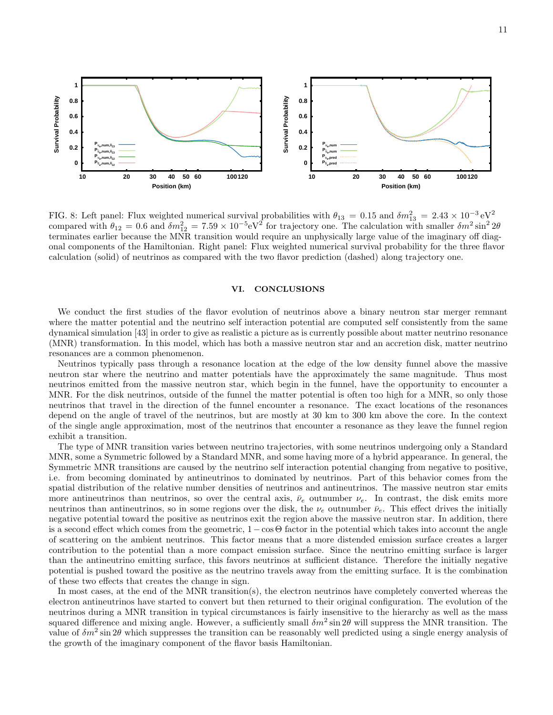



FIG. 8: Left panel: Flux weighted numerical survival probabilities with  $\theta_{13} = 0.15$  and  $\delta m_{13}^2 = 2.43 \times 10^{-3} \text{ eV}^2$ compared with  $\theta_{12} = 0.6$  and  $\delta m_{12}^2 = 7.59 \times 10^{-5} \text{eV}^2$  for trajectory one. The calculation with smaller  $\delta m^2 \sin^2 2\theta$ terminates earlier because the MNR transition would require an unphysically large value of the imaginary off diagonal components of the Hamiltonian. Right panel: Flux weighted numerical survival probability for the three flavor calculation (solid) of neutrinos as compared with the two flavor prediction (dashed) along trajectory one.

### VI. CONCLUSIONS

We conduct the first studies of the flavor evolution of neutrinos above a binary neutron star merger remnant where the matter potential and the neutrino self interaction potential are computed self consistently from the same dynamical simulation [43] in order to give as realistic a picture as is currently possible about matter neutrino resonance (MNR) transformation. In this model, which has both a massive neutron star and an accretion disk, matter neutrino resonances are a common phenomenon.

Neutrinos typically pass through a resonance location at the edge of the low density funnel above the massive neutron star where the neutrino and matter potentials have the approximately the same magnitude. Thus most neutrinos emitted from the massive neutron star, which begin in the funnel, have the opportunity to encounter a MNR. For the disk neutrinos, outside of the funnel the matter potential is often too high for a MNR, so only those neutrinos that travel in the direction of the funnel encounter a resonance. The exact locations of the resonances depend on the angle of travel of the neutrinos, but are mostly at 30 km to 300 km above the core. In the context of the single angle approximation, most of the neutrinos that encounter a resonance as they leave the funnel region exhibit a transition.

The type of MNR transition varies between neutrino trajectories, with some neutrinos undergoing only a Standard MNR, some a Symmetric followed by a Standard MNR, and some having more of a hybrid appearance. In general, the Symmetric MNR transitions are caused by the neutrino self interaction potential changing from negative to positive, i.e. from becoming dominated by antineutrinos to dominated by neutrinos. Part of this behavior comes from the spatial distribution of the relative number densities of neutrinos and antineutrinos. The massive neutron star emits more antineutrinos than neutrinos, so over the central axis,  $\bar{\nu}_e$  outnumber  $\nu_e$ . In contrast, the disk emits more neutrinos than antineutrinos, so in some regions over the disk, the  $\nu_e$  outnumber  $\bar{\nu}_e$ . This effect drives the initially negative potential toward the positive as neutrinos exit the region above the massive neutron star. In addition, there is a second effect which comes from the geometric,  $1-\cos\Theta$  factor in the potential which takes into account the angle of scattering on the ambient neutrinos. This factor means that a more distended emission surface creates a larger contribution to the potential than a more compact emission surface. Since the neutrino emitting surface is larger than the antineutrino emitting surface, this favors neutrinos at sufficient distance. Therefore the initially negative potential is pushed toward the positive as the neutrino travels away from the emitting surface. It is the combination of these two effects that creates the change in sign.

In most cases, at the end of the MNR transition(s), the electron neutrinos have completely converted whereas the electron antineutrinos have started to convert but then returned to their original configuration. The evolution of the neutrinos during a MNR transition in typical circumstances is fairly insensitive to the hierarchy as well as the mass squared difference and mixing angle. However, a sufficiently small  $\delta m^2 \sin 2\theta$  will suppress the MNR transition. The value of  $\delta m^2 \sin 2\theta$  which suppresses the transition can be reasonably well predicted using a single energy analysis of the growth of the imaginary component of the flavor basis Hamiltonian.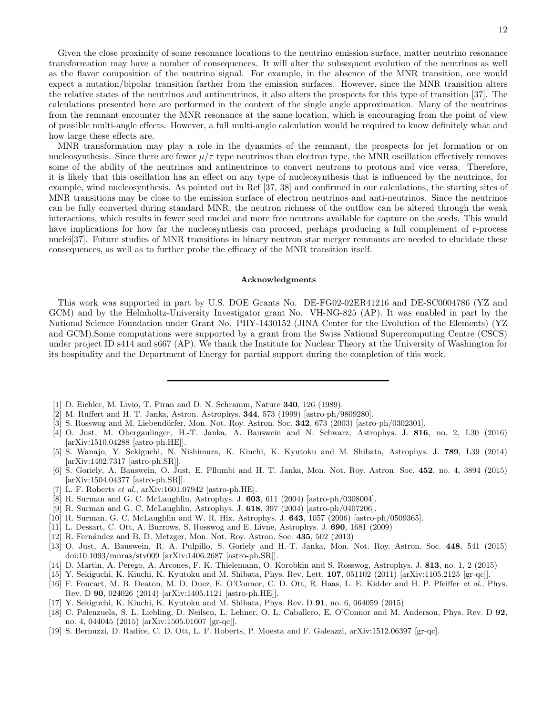Given the close proximity of some resonance locations to the neutrino emission surface, matter neutrino resonance transformation may have a number of consequences. It will alter the subsequent evolution of the neutrinos as well as the flavor composition of the neutrino signal. For example, in the absence of the MNR transition, one would expect a nutation/bipolar transition farther from the emission surfaces. However, since the MNR transition alters the relative states of the neutrinos and antineutrinos, it also alters the prospects for this type of transition [37]. The calculations presented here are performed in the context of the single angle approximation. Many of the neutrinos from the remnant encounter the MNR resonance at the same location, which is encouraging from the point of view of possible multi-angle effects. However, a full multi-angle calculation would be required to know definitely what and how large these effects are.

MNR transformation may play a role in the dynamics of the remnant, the prospects for jet formation or on nucleosynthesis. Since there are fewer  $\mu/\tau$  type neutrinos than electron type, the MNR oscillation effectively removes some of the ability of the neutrinos and antineutrinos to convert neutrons to protons and vice versa. Therefore, it is likely that this oscillation has an effect on any type of nucleosynthesis that is influenced by the neutrinos, for example, wind nucleosynthesis. As pointed out in Ref [37, 38] and confirmed in our calculations, the starting sites of MNR transitions may be close to the emission surface of electron neutrinos and anti-neutrinos. Since the neutrinos can be fully converted during standard MNR, the neutron richness of the outflow can be altered through the weak interactions, which results in fewer seed nuclei and more free neutrons available for capture on the seeds. This would have implications for how far the nucleosynthesis can proceed, perhaps producing a full complement of r-process nuclei<sup>[37]</sup>. Future studies of MNR transitions in binary neutron star merger remnants are needed to elucidate these consequences, as well as to further probe the efficacy of the MNR transition itself.

#### Acknowledgments

This work was supported in part by U.S. DOE Grants No. DE-FG02-02ER41216 and DE-SC0004786 (YZ and GCM) and by the Helmholtz-University Investigator grant No. VH-NG-825 (AP). It was enabled in part by the National Science Foundation under Grant No. PHY-1430152 (JINA Center for the Evolution of the Elements) (YZ and GCM).Some computations were supported by a grant from the Swiss National Supercomputing Centre (CSCS) under project ID s414 and s667 (AP). We thank the Institute for Nuclear Theory at the University of Washington for its hospitality and the Department of Energy for partial support during the completion of this work.

- [1] D. Eichler, M. Livio, T. Piran and D. N. Schramm, Nature 340, 126 (1989).
- [2] M. Ruffert and H. T. Janka, Astron. Astrophys. 344, 573 (1999) [astro-ph/9809280].
- [3] S. Rosswog and M. Liebendörfer, Mon. Not. Roy. Astron. Soc. 342, 673 (2003) [astro-ph/0302301].
- [4] O. Just, M. Obergaulinger, H.-T. Janka, A. Bauswein and N. Schwarz, Astrophys. J. 816, no. 2, L30 (2016) [arXiv:1510.04288 [astro-ph.HE]].
- [5] S. Wanajo, Y. Sekiguchi, N. Nishimura, K. Kiuchi, K. Kyutoku and M. Shibata, Astrophys. J. 789, L39 (2014) [arXiv:1402.7317 [astro-ph.SR]].
- [6] S. Goriely, A. Bauswein, O. Just, E. Pllumbi and H. T. Janka, Mon. Not. Roy. Astron. Soc. 452, no. 4, 3894 (2015) [arXiv:1504.04377 [astro-ph.SR]].
- [7] L. F. Roberts et al., arXiv:1601.07942 [astro-ph.HE].
- [8] R. Surman and G. C. McLaughlin, Astrophys. J. 603, 611 (2004) [astro-ph/0308004].
- [9] R. Surman and G. C. McLaughlin, Astrophys. J. 618, 397 (2004) [astro-ph/0407206].
- [10] R. Surman, G. C. McLaughlin and W. R. Hix, Astrophys. J. 643, 1057 (2006) [astro-ph/0509365].
- [11] L. Dessart, C. Ott, A. Burrows, S. Rosswog and E. Livne, Astrophys. J. 690, 1681 (2009)
- [12] R. Fernández and B. D. Metzger, Mon. Not. Roy. Astron. Soc. 435, 502 (2013)
- [13] O. Just, A. Bauswein, R. A. Pulpillo, S. Goriely and H.-T. Janka, Mon. Not. Roy. Astron. Soc. 448, 541 (2015) doi:10.1093/mnras/stv009 [arXiv:1406.2687 [astro-ph.SR]].
- [14] D. Martin, A. Perego, A. Arcones, F. K. Thielemann, O. Korobkin and S. Rosswog, Astrophys. J. 813, no. 1, 2 (2015)
- [15] Y. Sekiguchi, K. Kiuchi, K. Kyutoku and M. Shibata, Phys. Rev. Lett. 107, 051102 (2011) [arXiv:1105.2125 [gr-qc]].
- [16] F. Foucart, M. B. Deaton, M. D. Duez, E. O'Connor, C. D. Ott, R. Haas, L. E. Kidder and H. P. Pfeiffer et al., Phys. Rev. D 90, 024026 (2014) [arXiv:1405.1121 [astro-ph.HE]].
- [17] Y. Sekiguchi, K. Kiuchi, K. Kyutoku and M. Shibata, Phys. Rev. D 91, no. 6, 064059 (2015)
- [18] C. Palenzuela, S. L. Liebling, D. Neilsen, L. Lehner, O. L. Caballero, E. O'Connor and M. Anderson, Phys. Rev. D 92, no. 4, 044045 (2015) [arXiv:1505.01607 [gr-qc]].
- [19] S. Bernuzzi, D. Radice, C. D. Ott, L. F. Roberts, P. Moesta and F. Galeazzi, arXiv:1512.06397 [gr-qc].